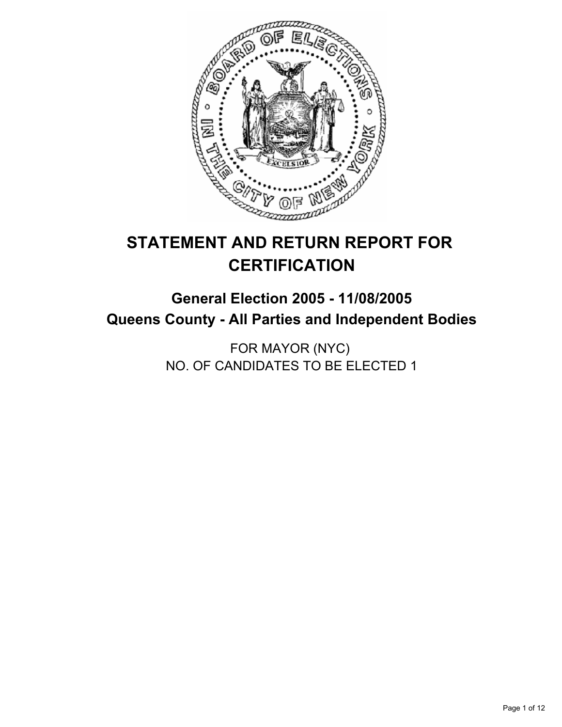

# **STATEMENT AND RETURN REPORT FOR CERTIFICATION**

## **General Election 2005 - 11/08/2005 Queens County - All Parties and Independent Bodies**

FOR MAYOR (NYC) NO. OF CANDIDATES TO BE ELECTED 1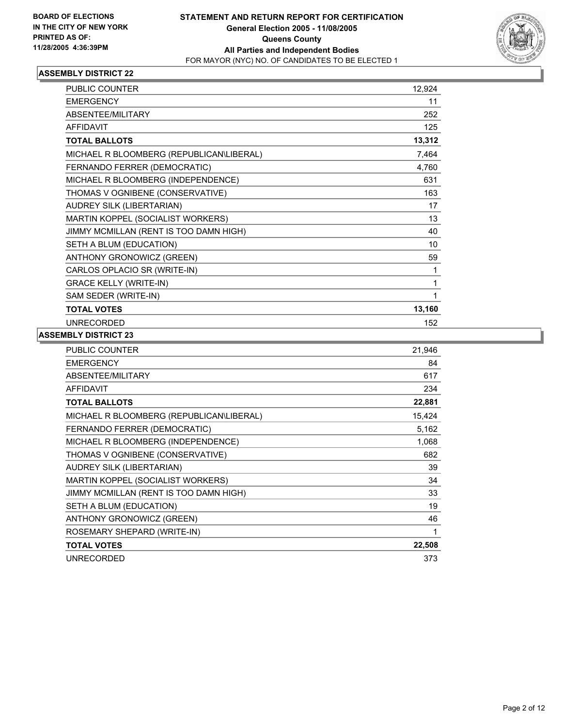

| PUBLIC COUNTER                           | 12,924 |  |
|------------------------------------------|--------|--|
| <b>EMERGENCY</b>                         | 11     |  |
| ABSENTEE/MILITARY                        | 252    |  |
| <b>AFFIDAVIT</b>                         | 125    |  |
| <b>TOTAL BALLOTS</b>                     | 13,312 |  |
| MICHAEL R BLOOMBERG (REPUBLICAN\LIBERAL) | 7,464  |  |
| FERNANDO FERRER (DEMOCRATIC)             | 4,760  |  |
| MICHAEL R BLOOMBERG (INDEPENDENCE)       | 631    |  |
| THOMAS V OGNIBENE (CONSERVATIVE)         | 163    |  |
| AUDREY SILK (LIBERTARIAN)                | 17     |  |
| MARTIN KOPPEL (SOCIALIST WORKERS)        | 13     |  |
| JIMMY MCMILLAN (RENT IS TOO DAMN HIGH)   | 40     |  |
| SETH A BLUM (EDUCATION)                  | 10     |  |
| ANTHONY GRONOWICZ (GREEN)                | 59     |  |
| CARLOS OPLACIO SR (WRITE-IN)             |        |  |
| <b>GRACE KELLY (WRITE-IN)</b>            |        |  |
| SAM SEDER (WRITE-IN)                     |        |  |
| <b>TOTAL VOTES</b>                       | 13,160 |  |
| <b>UNRECORDED</b>                        | 152    |  |

| PUBLIC COUNTER                           | 21,946 |
|------------------------------------------|--------|
| <b>EMERGENCY</b>                         | 84     |
| ABSENTEE/MILITARY                        | 617    |
| <b>AFFIDAVIT</b>                         | 234    |
| <b>TOTAL BALLOTS</b>                     | 22,881 |
| MICHAEL R BLOOMBERG (REPUBLICAN\LIBERAL) | 15,424 |
| FERNANDO FERRER (DEMOCRATIC)             | 5,162  |
| MICHAEL R BLOOMBERG (INDEPENDENCE)       | 1,068  |
| THOMAS V OGNIBENE (CONSERVATIVE)         | 682    |
| AUDREY SILK (LIBERTARIAN)                | 39     |
| MARTIN KOPPEL (SOCIALIST WORKERS)        | 34     |
| JIMMY MCMILLAN (RENT IS TOO DAMN HIGH)   | 33     |
| SETH A BLUM (EDUCATION)                  | 19     |
| ANTHONY GRONOWICZ (GREEN)                | 46     |
| ROSEMARY SHEPARD (WRITE-IN)              | 1      |
| <b>TOTAL VOTES</b>                       | 22,508 |
| <b>UNRECORDED</b>                        | 373    |
|                                          |        |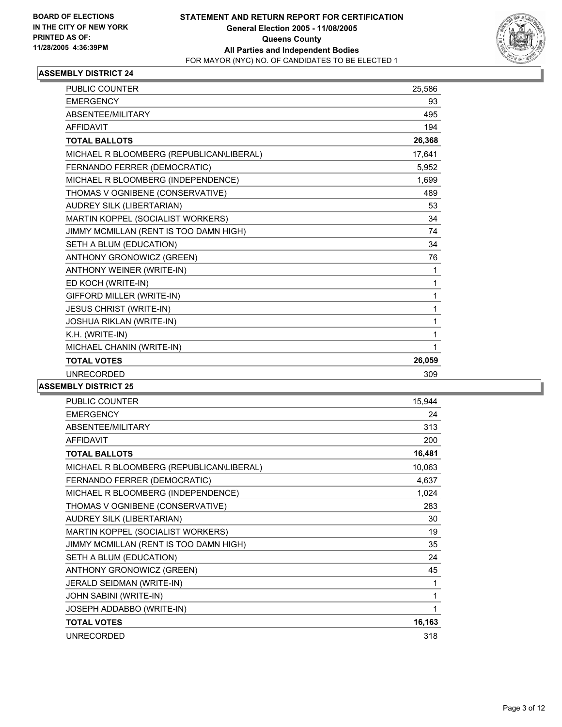

| <b>PUBLIC COUNTER</b>                    | 25,586 |
|------------------------------------------|--------|
| <b>EMERGENCY</b>                         | 93     |
| ABSENTEE/MILITARY                        | 495    |
| <b>AFFIDAVIT</b>                         | 194    |
| <b>TOTAL BALLOTS</b>                     | 26,368 |
| MICHAEL R BLOOMBERG (REPUBLICAN\LIBERAL) | 17,641 |
| FERNANDO FERRER (DEMOCRATIC)             | 5,952  |
| MICHAEL R BLOOMBERG (INDEPENDENCE)       | 1,699  |
| THOMAS V OGNIBENE (CONSERVATIVE)         | 489    |
| AUDREY SILK (LIBERTARIAN)                | 53     |
| MARTIN KOPPEL (SOCIALIST WORKERS)        | 34     |
| JIMMY MCMILLAN (RENT IS TOO DAMN HIGH)   | 74     |
| SETH A BLUM (EDUCATION)                  | 34     |
| ANTHONY GRONOWICZ (GREEN)                | 76     |
| ANTHONY WEINER (WRITE-IN)                | 1      |
| ED KOCH (WRITE-IN)                       |        |
| GIFFORD MILLER (WRITE-IN)                | 1      |
| JESUS CHRIST (WRITE-IN)                  | 1      |
| <b>JOSHUA RIKLAN (WRITE-IN)</b>          | 1      |
| K.H. (WRITE-IN)                          |        |
| MICHAEL CHANIN (WRITE-IN)                |        |
| <b>TOTAL VOTES</b>                       | 26,059 |
| <b>UNRECORDED</b>                        | 309    |

| <b>PUBLIC COUNTER</b>                    | 15,944 |
|------------------------------------------|--------|
| <b>EMERGENCY</b>                         | 24     |
| ABSENTEE/MILITARY                        | 313    |
| <b>AFFIDAVIT</b>                         | 200    |
| <b>TOTAL BALLOTS</b>                     | 16,481 |
| MICHAEL R BLOOMBERG (REPUBLICAN\LIBERAL) | 10,063 |
| FERNANDO FERRER (DEMOCRATIC)             | 4,637  |
| MICHAEL R BLOOMBERG (INDEPENDENCE)       | 1,024  |
| THOMAS V OGNIBENE (CONSERVATIVE)         | 283    |
| AUDREY SILK (LIBERTARIAN)                | 30     |
| MARTIN KOPPEL (SOCIALIST WORKERS)        | 19     |
| JIMMY MCMILLAN (RENT IS TOO DAMN HIGH)   | 35     |
| SETH A BLUM (EDUCATION)                  | 24     |
| ANTHONY GRONOWICZ (GREEN)                | 45     |
| JERALD SEIDMAN (WRITE-IN)                | 1      |
| JOHN SABINI (WRITE-IN)                   | 1      |
| JOSEPH ADDABBO (WRITE-IN)                |        |
| <b>TOTAL VOTES</b>                       | 16,163 |
| <b>UNRECORDED</b>                        | 318    |
|                                          |        |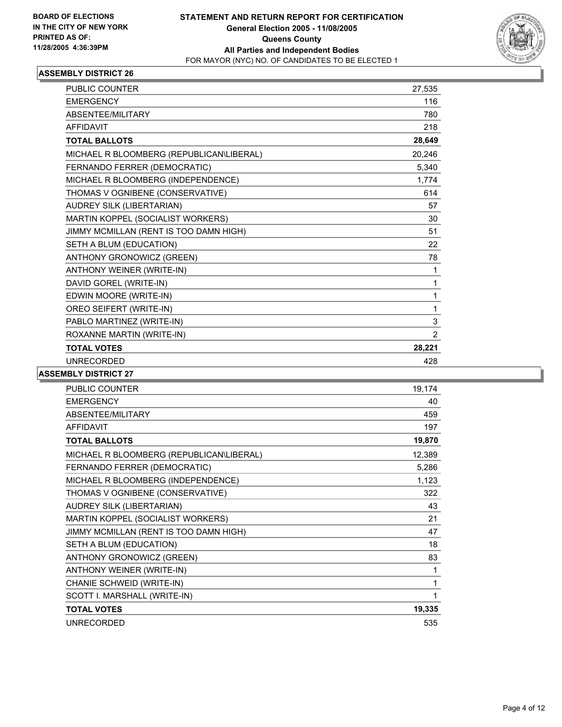

| PUBLIC COUNTER                           | 27,535         |
|------------------------------------------|----------------|
| <b>EMERGENCY</b>                         | 116            |
| ABSENTEE/MILITARY                        | 780            |
| <b>AFFIDAVIT</b>                         | 218            |
| <b>TOTAL BALLOTS</b>                     | 28,649         |
| MICHAEL R BLOOMBERG (REPUBLICAN\LIBERAL) | 20,246         |
| FERNANDO FERRER (DEMOCRATIC)             | 5,340          |
| MICHAEL R BLOOMBERG (INDEPENDENCE)       | 1,774          |
| THOMAS V OGNIBENE (CONSERVATIVE)         | 614            |
| AUDREY SILK (LIBERTARIAN)                | 57             |
| MARTIN KOPPEL (SOCIALIST WORKERS)        | 30             |
| JIMMY MCMILLAN (RENT IS TOO DAMN HIGH)   | 51             |
| SETH A BLUM (EDUCATION)                  | 22             |
| ANTHONY GRONOWICZ (GREEN)                | 78             |
| ANTHONY WEINER (WRITE-IN)                | 1              |
| DAVID GOREL (WRITE-IN)                   | 1              |
| EDWIN MOORE (WRITE-IN)                   | 1              |
| OREO SEIFERT (WRITE-IN)                  | 1              |
| PABLO MARTINEZ (WRITE-IN)                | 3              |
| ROXANNE MARTIN (WRITE-IN)                | $\overline{2}$ |
| <b>TOTAL VOTES</b>                       | 28,221         |
| <b>UNRECORDED</b>                        | 428            |

| PUBLIC COUNTER                           | 19,174 |
|------------------------------------------|--------|
| <b>EMERGENCY</b>                         | 40     |
| ABSENTEE/MILITARY                        | 459    |
| <b>AFFIDAVIT</b>                         | 197    |
| <b>TOTAL BALLOTS</b>                     | 19,870 |
| MICHAEL R BLOOMBERG (REPUBLICAN\LIBERAL) | 12,389 |
| FERNANDO FERRER (DEMOCRATIC)             | 5,286  |
| MICHAEL R BLOOMBERG (INDEPENDENCE)       | 1,123  |
| THOMAS V OGNIBENE (CONSERVATIVE)         | 322    |
| AUDREY SILK (LIBERTARIAN)                | 43     |
| MARTIN KOPPEL (SOCIALIST WORKERS)        | 21     |
| JIMMY MCMILLAN (RENT IS TOO DAMN HIGH)   | 47     |
| SETH A BLUM (EDUCATION)                  | 18     |
| ANTHONY GRONOWICZ (GREEN)                | 83     |
| ANTHONY WEINER (WRITE-IN)                | 1      |
| CHANIE SCHWEID (WRITE-IN)                | 1      |
| SCOTT I. MARSHALL (WRITE-IN)             |        |
| <b>TOTAL VOTES</b>                       | 19,335 |
| <b>UNRECORDED</b>                        | 535    |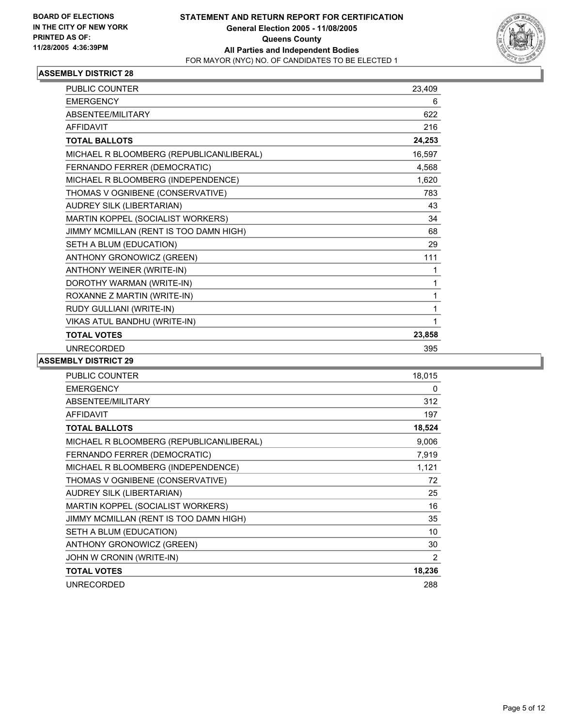

| PUBLIC COUNTER                           | 23,409 |  |
|------------------------------------------|--------|--|
| <b>EMERGENCY</b>                         | 6      |  |
| ABSENTEE/MILITARY                        | 622    |  |
| <b>AFFIDAVIT</b>                         | 216    |  |
| <b>TOTAL BALLOTS</b>                     | 24,253 |  |
| MICHAEL R BLOOMBERG (REPUBLICAN\LIBERAL) | 16,597 |  |
| FERNANDO FERRER (DEMOCRATIC)             | 4,568  |  |
| MICHAEL R BLOOMBERG (INDEPENDENCE)       | 1,620  |  |
| THOMAS V OGNIBENE (CONSERVATIVE)         | 783    |  |
| AUDREY SILK (LIBERTARIAN)                | 43     |  |
| MARTIN KOPPEL (SOCIALIST WORKERS)        | 34     |  |
| JIMMY MCMILLAN (RENT IS TOO DAMN HIGH)   | 68     |  |
| SETH A BLUM (EDUCATION)                  | 29     |  |
| ANTHONY GRONOWICZ (GREEN)                | 111    |  |
| ANTHONY WEINER (WRITE-IN)                | 1      |  |
| DOROTHY WARMAN (WRITE-IN)                | 1      |  |
| ROXANNE Z MARTIN (WRITE-IN)              |        |  |
| RUDY GULLIANI (WRITE-IN)                 | 1      |  |
| VIKAS ATUL BANDHU (WRITE-IN)             | 1      |  |
| <b>TOTAL VOTES</b>                       | 23,858 |  |
| <b>UNRECORDED</b>                        | 395    |  |

| PUBLIC COUNTER                           | 18,015 |
|------------------------------------------|--------|
| <b>EMERGENCY</b>                         | 0      |
| ABSENTEE/MILITARY                        | 312    |
| <b>AFFIDAVIT</b>                         | 197    |
| <b>TOTAL BALLOTS</b>                     | 18,524 |
| MICHAEL R BLOOMBERG (REPUBLICAN\LIBERAL) | 9,006  |
| FERNANDO FERRER (DEMOCRATIC)             | 7,919  |
| MICHAEL R BLOOMBERG (INDEPENDENCE)       | 1,121  |
| THOMAS V OGNIBENE (CONSERVATIVE)         | 72     |
| AUDREY SILK (LIBERTARIAN)                | 25     |
| MARTIN KOPPEL (SOCIALIST WORKERS)        | 16     |
| JIMMY MCMILLAN (RENT IS TOO DAMN HIGH)   | 35     |
| SETH A BLUM (EDUCATION)                  | 10     |
| ANTHONY GRONOWICZ (GREEN)                | 30     |
| JOHN W CRONIN (WRITE-IN)                 | 2      |
| <b>TOTAL VOTES</b>                       | 18,236 |
| <b>UNRECORDED</b>                        | 288    |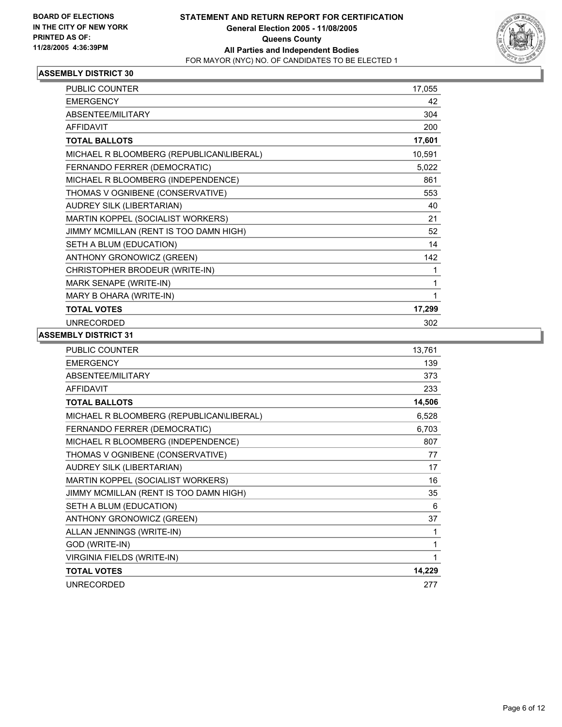

| PUBLIC COUNTER                           | 17,055 |  |
|------------------------------------------|--------|--|
| <b>EMERGENCY</b>                         | 42     |  |
| ABSENTEE/MILITARY                        | 304    |  |
| <b>AFFIDAVIT</b>                         | 200    |  |
| <b>TOTAL BALLOTS</b>                     | 17,601 |  |
| MICHAEL R BLOOMBERG (REPUBLICAN\LIBERAL) | 10,591 |  |
| FERNANDO FERRER (DEMOCRATIC)             | 5,022  |  |
| MICHAEL R BLOOMBERG (INDEPENDENCE)       | 861    |  |
| THOMAS V OGNIBENE (CONSERVATIVE)         | 553    |  |
| AUDREY SILK (LIBERTARIAN)                | 40     |  |
| MARTIN KOPPEL (SOCIALIST WORKERS)        | 21     |  |
| JIMMY MCMILLAN (RENT IS TOO DAMN HIGH)   | 52     |  |
| SETH A BLUM (EDUCATION)                  | 14     |  |
| ANTHONY GRONOWICZ (GREEN)                | 142    |  |
| CHRISTOPHER BRODEUR (WRITE-IN)           |        |  |
| MARK SENAPE (WRITE-IN)                   |        |  |
| MARY B OHARA (WRITE-IN)                  |        |  |
| <b>TOTAL VOTES</b>                       | 17,299 |  |
| <b>UNRECORDED</b>                        | 302    |  |

| <b>PUBLIC COUNTER</b>                    | 13,761 |
|------------------------------------------|--------|
| <b>EMERGENCY</b>                         | 139    |
| ABSENTEE/MILITARY                        | 373    |
| <b>AFFIDAVIT</b>                         | 233    |
| <b>TOTAL BALLOTS</b>                     | 14,506 |
| MICHAEL R BLOOMBERG (REPUBLICAN\LIBERAL) | 6,528  |
| FERNANDO FERRER (DEMOCRATIC)             | 6,703  |
| MICHAEL R BLOOMBERG (INDEPENDENCE)       | 807    |
| THOMAS V OGNIBENE (CONSERVATIVE)         | 77     |
| AUDREY SILK (LIBERTARIAN)                | 17     |
| MARTIN KOPPEL (SOCIALIST WORKERS)        | 16     |
| JIMMY MCMILLAN (RENT IS TOO DAMN HIGH)   | 35     |
| SETH A BLUM (EDUCATION)                  | 6      |
| ANTHONY GRONOWICZ (GREEN)                | 37     |
| ALLAN JENNINGS (WRITE-IN)                | 1      |
| GOD (WRITE-IN)                           |        |
| VIRGINIA FIELDS (WRITE-IN)               |        |
| <b>TOTAL VOTES</b>                       | 14,229 |
| <b>UNRECORDED</b>                        | 277    |
|                                          |        |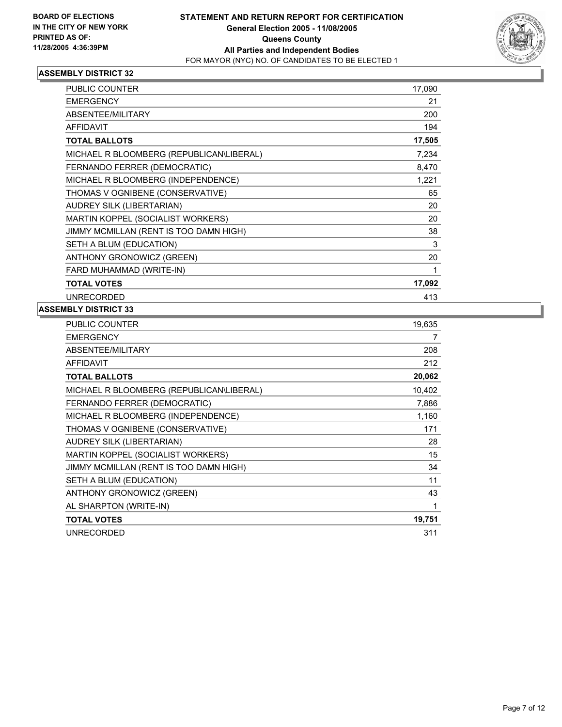

| PUBLIC COUNTER                           | 17,090 |  |
|------------------------------------------|--------|--|
| <b>EMERGENCY</b>                         | 21     |  |
| ABSENTEE/MILITARY                        | 200    |  |
| <b>AFFIDAVIT</b>                         | 194    |  |
| <b>TOTAL BALLOTS</b>                     | 17,505 |  |
| MICHAEL R BLOOMBERG (REPUBLICAN\LIBERAL) | 7,234  |  |
| FERNANDO FERRER (DEMOCRATIC)             | 8,470  |  |
| MICHAEL R BLOOMBERG (INDEPENDENCE)       | 1,221  |  |
| THOMAS V OGNIBENE (CONSERVATIVE)         | 65     |  |
| AUDREY SILK (LIBERTARIAN)                | 20     |  |
| MARTIN KOPPEL (SOCIALIST WORKERS)        | 20     |  |
| JIMMY MCMILLAN (RENT IS TOO DAMN HIGH)   | 38     |  |
| SETH A BLUM (EDUCATION)                  | 3      |  |
| ANTHONY GRONOWICZ (GREEN)                | 20     |  |
| FARD MUHAMMAD (WRITE-IN)                 |        |  |
| <b>TOTAL VOTES</b>                       | 17,092 |  |
| <b>UNRECORDED</b>                        | 413    |  |

| PUBLIC COUNTER                           | 19,635 |
|------------------------------------------|--------|
| <b>EMERGENCY</b>                         | 7      |
| ABSENTEE/MILITARY                        | 208    |
| <b>AFFIDAVIT</b>                         | 212    |
| <b>TOTAL BALLOTS</b>                     | 20,062 |
| MICHAEL R BLOOMBERG (REPUBLICAN\LIBERAL) | 10,402 |
| FERNANDO FERRER (DEMOCRATIC)             | 7,886  |
| MICHAEL R BLOOMBERG (INDEPENDENCE)       | 1,160  |
| THOMAS V OGNIBENE (CONSERVATIVE)         | 171    |
| AUDREY SILK (LIBERTARIAN)                | 28     |
| MARTIN KOPPEL (SOCIALIST WORKERS)        | 15     |
| JIMMY MCMILLAN (RENT IS TOO DAMN HIGH)   | 34     |
| SETH A BLUM (EDUCATION)                  | 11     |
| ANTHONY GRONOWICZ (GREEN)                | 43     |
| AL SHARPTON (WRITE-IN)                   | 1      |
| <b>TOTAL VOTES</b>                       | 19,751 |
| <b>UNRECORDED</b>                        | 311    |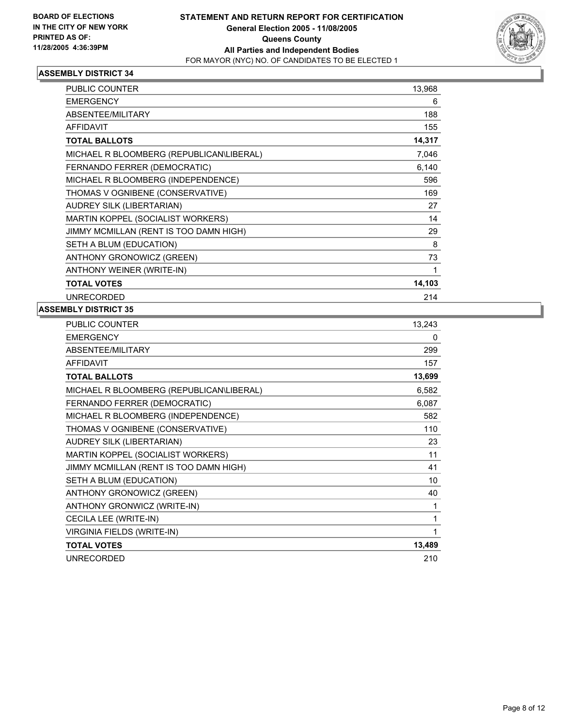

| PUBLIC COUNTER                           | 13,968 |
|------------------------------------------|--------|
| <b>EMERGENCY</b>                         | 6      |
| ABSENTEE/MILITARY                        | 188    |
| <b>AFFIDAVIT</b>                         | 155    |
| <b>TOTAL BALLOTS</b>                     | 14,317 |
| MICHAEL R BLOOMBERG (REPUBLICAN\LIBERAL) | 7,046  |
| FERNANDO FERRER (DEMOCRATIC)             | 6,140  |
| MICHAEL R BLOOMBERG (INDEPENDENCE)       | 596    |
| THOMAS V OGNIBENE (CONSERVATIVE)         | 169    |
| AUDREY SILK (LIBERTARIAN)                | 27     |
| MARTIN KOPPEL (SOCIALIST WORKERS)        | 14     |
| JIMMY MCMILLAN (RENT IS TOO DAMN HIGH)   | 29     |
| SETH A BLUM (EDUCATION)                  | 8      |
| ANTHONY GRONOWICZ (GREEN)                | 73     |
| ANTHONY WEINER (WRITE-IN)                |        |
| <b>TOTAL VOTES</b>                       | 14,103 |
| <b>UNRECORDED</b>                        | 214    |

| <b>PUBLIC COUNTER</b>                    | 13,243 |
|------------------------------------------|--------|
| <b>EMERGENCY</b>                         | 0      |
| ABSENTEE/MILITARY                        | 299    |
| <b>AFFIDAVIT</b>                         | 157    |
| <b>TOTAL BALLOTS</b>                     | 13,699 |
| MICHAEL R BLOOMBERG (REPUBLICAN\LIBERAL) | 6,582  |
| FERNANDO FERRER (DEMOCRATIC)             | 6,087  |
| MICHAEL R BLOOMBERG (INDEPENDENCE)       | 582    |
| THOMAS V OGNIBENE (CONSERVATIVE)         | 110    |
| AUDREY SILK (LIBERTARIAN)                | 23     |
| MARTIN KOPPEL (SOCIALIST WORKERS)        | 11     |
| JIMMY MCMILLAN (RENT IS TOO DAMN HIGH)   | 41     |
| SETH A BLUM (EDUCATION)                  | 10     |
| ANTHONY GRONOWICZ (GREEN)                | 40     |
| ANTHONY GRONWICZ (WRITE-IN)              | 1      |
| CECILA LEE (WRITE-IN)                    | 1      |
| <b>VIRGINIA FIELDS (WRITE-IN)</b>        |        |
| <b>TOTAL VOTES</b>                       | 13,489 |
| <b>UNRECORDED</b>                        | 210    |
|                                          |        |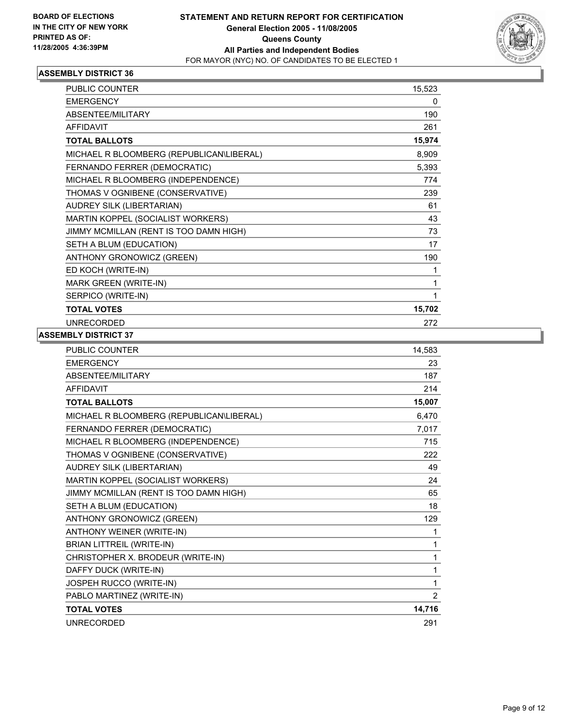

| <b>PUBLIC COUNTER</b>                    | 15,523 |  |
|------------------------------------------|--------|--|
| <b>EMERGENCY</b>                         | 0      |  |
| ABSENTEE/MILITARY                        | 190    |  |
| <b>AFFIDAVIT</b>                         | 261    |  |
| <b>TOTAL BALLOTS</b>                     | 15,974 |  |
| MICHAEL R BLOOMBERG (REPUBLICAN\LIBERAL) | 8,909  |  |
| FERNANDO FERRER (DEMOCRATIC)             | 5,393  |  |
| MICHAEL R BLOOMBERG (INDEPENDENCE)       | 774    |  |
| THOMAS V OGNIBENE (CONSERVATIVE)         | 239    |  |
| AUDREY SILK (LIBERTARIAN)                | 61     |  |
| MARTIN KOPPEL (SOCIALIST WORKERS)        | 43     |  |
| JIMMY MCMILLAN (RENT IS TOO DAMN HIGH)   | 73     |  |
| SETH A BLUM (EDUCATION)                  | 17     |  |
| ANTHONY GRONOWICZ (GREEN)                | 190    |  |
| ED KOCH (WRITE-IN)                       |        |  |
| MARK GREEN (WRITE-IN)                    |        |  |
| SERPICO (WRITE-IN)                       |        |  |
| <b>TOTAL VOTES</b>                       | 15,702 |  |
| <b>UNRECORDED</b>                        | 272    |  |

| <b>PUBLIC COUNTER</b>                    | 14,583         |
|------------------------------------------|----------------|
| <b>EMERGENCY</b>                         | 23             |
| ABSENTEE/MILITARY                        | 187            |
| <b>AFFIDAVIT</b>                         | 214            |
| <b>TOTAL BALLOTS</b>                     | 15,007         |
| MICHAEL R BLOOMBERG (REPUBLICAN\LIBERAL) | 6,470          |
| FERNANDO FERRER (DEMOCRATIC)             | 7,017          |
| MICHAEL R BLOOMBERG (INDEPENDENCE)       | 715            |
| THOMAS V OGNIBENE (CONSERVATIVE)         | 222            |
| <b>AUDREY SILK (LIBERTARIAN)</b>         | 49             |
| MARTIN KOPPEL (SOCIALIST WORKERS)        | 24             |
| JIMMY MCMILLAN (RENT IS TOO DAMN HIGH)   | 65             |
| SETH A BLUM (EDUCATION)                  | 18             |
| ANTHONY GRONOWICZ (GREEN)                | 129            |
| ANTHONY WEINER (WRITE-IN)                | 1              |
| <b>BRIAN LITTREIL (WRITE-IN)</b>         | 1              |
| CHRISTOPHER X. BRODEUR (WRITE-IN)        |                |
| DAFFY DUCK (WRITE-IN)                    | 1              |
| JOSPEH RUCCO (WRITE-IN)                  | 1              |
| PABLO MARTINEZ (WRITE-IN)                | $\overline{2}$ |
| <b>TOTAL VOTES</b>                       | 14,716         |
| <b>UNRECORDED</b>                        | 291            |
|                                          |                |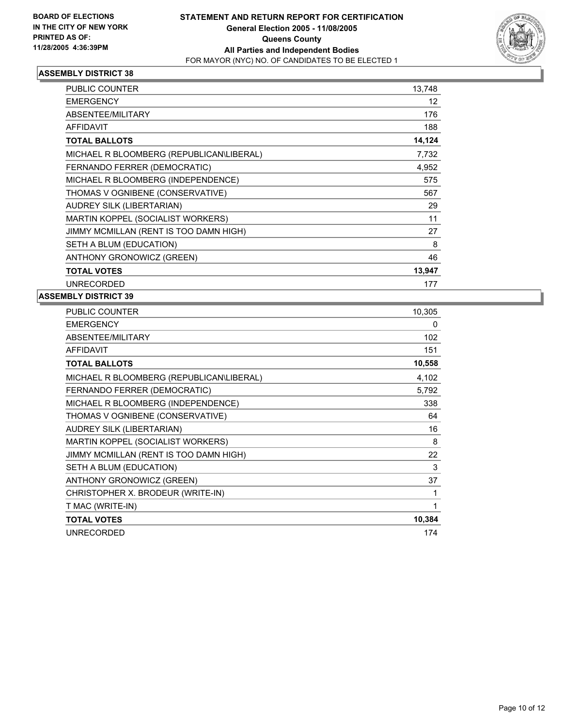

| PUBLIC COUNTER                           | 13,748 |  |
|------------------------------------------|--------|--|
| <b>EMERGENCY</b>                         | 12     |  |
| <b>ABSENTEE/MILITARY</b>                 | 176    |  |
| <b>AFFIDAVIT</b>                         | 188    |  |
| <b>TOTAL BALLOTS</b>                     | 14,124 |  |
| MICHAEL R BLOOMBERG (REPUBLICAN\LIBERAL) | 7,732  |  |
| FERNANDO FERRER (DEMOCRATIC)             | 4,952  |  |
| MICHAEL R BLOOMBERG (INDEPENDENCE)       | 575    |  |
| THOMAS V OGNIBENE (CONSERVATIVE)         | 567    |  |
| AUDREY SILK (LIBERTARIAN)                | 29     |  |
| MARTIN KOPPEL (SOCIALIST WORKERS)        | 11     |  |
| JIMMY MCMILLAN (RENT IS TOO DAMN HIGH)   | 27     |  |
| SETH A BLUM (EDUCATION)                  | 8      |  |
| ANTHONY GRONOWICZ (GREEN)                | 46     |  |
| <b>TOTAL VOTES</b>                       | 13,947 |  |
| <b>UNRECORDED</b>                        | 177    |  |

| PUBLIC COUNTER                           | 10,305 |
|------------------------------------------|--------|
| <b>EMERGENCY</b>                         | 0      |
| ABSENTEE/MILITARY                        | 102    |
| <b>AFFIDAVIT</b>                         | 151    |
| <b>TOTAL BALLOTS</b>                     | 10,558 |
| MICHAEL R BLOOMBERG (REPUBLICAN\LIBERAL) | 4,102  |
| FERNANDO FERRER (DEMOCRATIC)             | 5,792  |
| MICHAEL R BLOOMBERG (INDEPENDENCE)       | 338    |
| THOMAS V OGNIBENE (CONSERVATIVE)         | 64     |
| AUDREY SILK (LIBERTARIAN)                | 16     |
| MARTIN KOPPEL (SOCIALIST WORKERS)        | 8      |
| JIMMY MCMILLAN (RENT IS TOO DAMN HIGH)   | 22     |
| SETH A BLUM (EDUCATION)                  | 3      |
| ANTHONY GRONOWICZ (GREEN)                | 37     |
| CHRISTOPHER X. BRODEUR (WRITE-IN)        |        |
| T MAC (WRITE-IN)                         |        |
| <b>TOTAL VOTES</b>                       | 10,384 |
| <b>UNRECORDED</b>                        | 174    |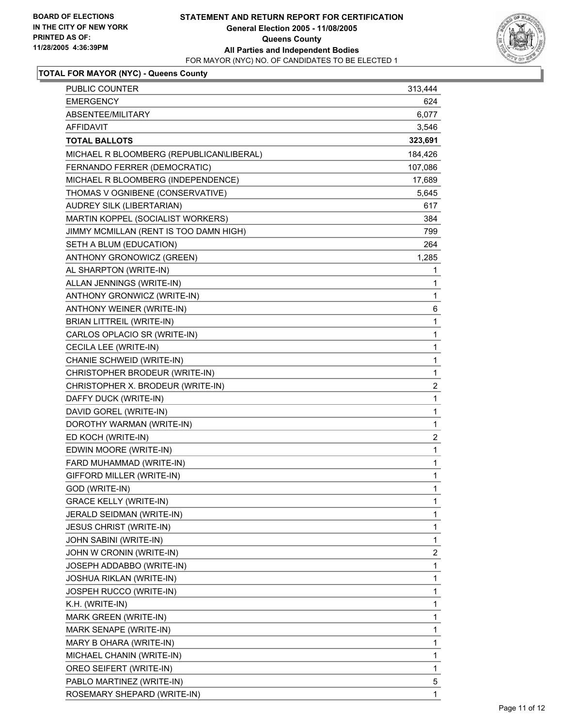

## **TOTAL FOR MAYOR (NYC) - Queens County**

| PUBLIC COUNTER                           | 313,444                 |
|------------------------------------------|-------------------------|
| <b>EMERGENCY</b>                         | 624                     |
| ABSENTEE/MILITARY                        | 6,077                   |
| <b>AFFIDAVIT</b>                         | 3,546                   |
| <b>TOTAL BALLOTS</b>                     | 323,691                 |
| MICHAEL R BLOOMBERG (REPUBLICAN\LIBERAL) | 184,426                 |
| FERNANDO FERRER (DEMOCRATIC)             | 107,086                 |
| MICHAEL R BLOOMBERG (INDEPENDENCE)       | 17,689                  |
| THOMAS V OGNIBENE (CONSERVATIVE)         | 5,645                   |
| AUDREY SILK (LIBERTARIAN)                | 617                     |
| MARTIN KOPPEL (SOCIALIST WORKERS)        | 384                     |
| JIMMY MCMILLAN (RENT IS TOO DAMN HIGH)   | 799                     |
| SETH A BLUM (EDUCATION)                  | 264                     |
| ANTHONY GRONOWICZ (GREEN)                | 1,285                   |
| AL SHARPTON (WRITE-IN)                   | 1                       |
| ALLAN JENNINGS (WRITE-IN)                | 1                       |
| ANTHONY GRONWICZ (WRITE-IN)              | 1                       |
| ANTHONY WEINER (WRITE-IN)                | 6                       |
| <b>BRIAN LITTREIL (WRITE-IN)</b>         | 1                       |
| CARLOS OPLACIO SR (WRITE-IN)             | 1                       |
| CECILA LEE (WRITE-IN)                    | 1                       |
| CHANIE SCHWEID (WRITE-IN)                | 1                       |
| CHRISTOPHER BRODEUR (WRITE-IN)           | 1                       |
| CHRISTOPHER X. BRODEUR (WRITE-IN)        | $\overline{c}$          |
| DAFFY DUCK (WRITE-IN)                    | $\mathbf 1$             |
| DAVID GOREL (WRITE-IN)                   | 1                       |
| DOROTHY WARMAN (WRITE-IN)                | 1                       |
| ED KOCH (WRITE-IN)                       | $\overline{\mathbf{c}}$ |
| EDWIN MOORE (WRITE-IN)                   | 1                       |
| FARD MUHAMMAD (WRITE-IN)                 | 1                       |
| GIFFORD MILLER (WRITE-IN)                | 1                       |
| GOD (WRITE-IN)                           | 1                       |
| <b>GRACE KELLY (WRITE-IN)</b>            | 1                       |
| JERALD SEIDMAN (WRITE-IN)                | 1                       |
| <b>JESUS CHRIST (WRITE-IN)</b>           | 1                       |
| JOHN SABINI (WRITE-IN)                   | 1                       |
| JOHN W CRONIN (WRITE-IN)                 | $\overline{\mathbf{c}}$ |
| JOSEPH ADDABBO (WRITE-IN)                | 1                       |
| <b>JOSHUA RIKLAN (WRITE-IN)</b>          | 1                       |
| JOSPEH RUCCO (WRITE-IN)                  | 1                       |
| K.H. (WRITE-IN)                          | 1                       |
| MARK GREEN (WRITE-IN)                    | 1                       |
| MARK SENAPE (WRITE-IN)                   | 1                       |
| MARY B OHARA (WRITE-IN)                  | 1                       |
| MICHAEL CHANIN (WRITE-IN)                | 1                       |
| OREO SEIFERT (WRITE-IN)                  | $\mathbf{1}$            |
| PABLO MARTINEZ (WRITE-IN)                | 5                       |
| ROSEMARY SHEPARD (WRITE-IN)              | 1                       |
|                                          |                         |